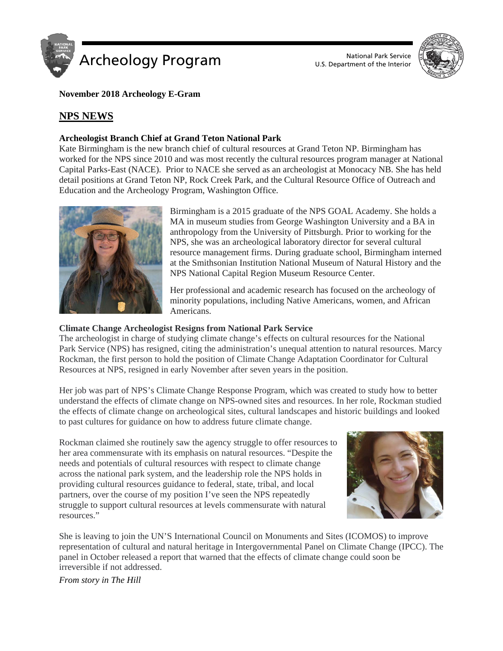

U.S. Department of the Interior



**November 2018 Archeology E-Gram**

## **NPS NEWS**

## **Archeologist Branch Chief at Grand Teton National Park**

Kate Birmingham is the new branch chief of cultural resources at Grand Teton NP. Birmingham has worked for the NPS since 2010 and was most recently the cultural resources program manager at National Capital Parks-East (NACE). Prior to NACE she served as an archeologist at Monocacy NB. She has held detail positions at Grand Teton NP, Rock Creek Park, and the Cultural Resource Office of Outreach and Education and the Archeology Program, Washington Office.



Birmingham is a 2015 graduate of the NPS GOAL Academy. She holds a MA in museum studies from George Washington University and a BA in anthropology from the University of Pittsburgh. Prior to working for the NPS, she was an archeological laboratory director for several cultural resource management firms. During graduate school, Birmingham interned at the Smithsonian Institution National Museum of Natural History and the NPS National Capital Region Museum Resource Center.

Her professional and academic research has focused on the archeology of minority populations, including Native Americans, women, and African Americans.

## **Climate Change Archeologist Resigns from National Park Service**

The archeologist in charge of studying climate change's effects on cultural resources for the National Park Service (NPS) has resigned, citing the administration's unequal attention to natural resources. Marcy Rockman, the first person to hold the position of Climate Change Adaptation Coordinator for Cultural Resources at NPS, resigned in early November after seven years in the position.

Her job was part of NPS's Climate Change Response Program, which was created to study how to better understand the effects of climate change on NPS-owned sites and resources. In her role, Rockman studied the effects of climate change on archeological sites, cultural landscapes and historic buildings and looked to past cultures for guidance on how to address future climate change.

Rockman claimed she routinely saw the agency struggle to offer resources to her area commensurate with its emphasis on natural resources. "Despite the needs and potentials of cultural resources with respect to climate change across the national park system, and the leadership role the NPS holds in providing cultural resources guidance to federal, state, tribal, and local partners, over the course of my position I've seen the NPS repeatedly struggle to support cultural resources at levels commensurate with natural resources."



She is leaving to join the UN'S International Council on Monuments and Sites (ICOMOS) to improve representation of cultural and natural heritage in Intergovernmental Panel on Climate Change (IPCC). The panel in October released a report that warned that the effects of climate change could soon be irreversible if not addressed.

*From story in The Hill*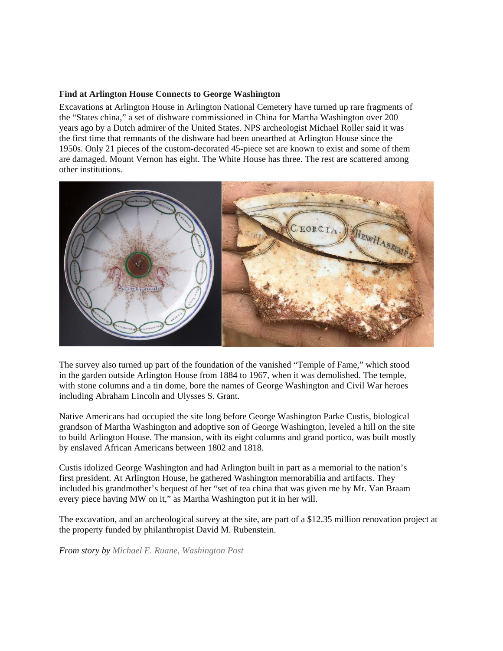#### **Find at Arlington House Connects to George Washington**

Excavations at Arlington House in Arlington National Cemetery have turned up rare fragments of the "States china," a set of dishware commissioned in China for Martha Washington over 200 years ago by a Dutch admirer of the United States. NPS archeologist Michael Roller said it was the first time that remnants of the dishware had been unearthed at Arlington House since the 1950s. Only 21 pieces of the custom-decorated 45-piece set are known to exist and some of them are damaged. Mount Vernon has eight. The White House has three. The rest are scattered among other institutions.



The survey also turned up part of the foundation of the vanished "Temple of Fame," which stood in the garden outside Arlington House from 1884 to 1967, when it was demolished. The temple, with stone columns and a tin dome, bore the names of George Washington and Civil War heroes including Abraham Lincoln and Ulysses S. Grant.

Native Americans had occupied the site long before George Washington Parke Custis, biological grandson of Martha Washington and adoptive son of George Washington, leveled a hill on the site to build Arlington House. The mansion, with its eight columns and grand portico, was built mostly by enslaved African Americans between 1802 and 1818.

Custis idolized George Washington and had Arlington built in part as a memorial to the nation's first president. At Arlington House, he gathered Washington memorabilia and artifacts. They included his grandmother's bequest of her "set of tea china that was given me by Mr. Van Braam every piece having MW on it," as Martha Washington put it in her will.

The excavation, and an archeological survey at the site, are part of a \$12.35 million renovation project at the property funded by philanthropist David M. Rubenstein.

*From story by Michael E. Ruane, Washington Post*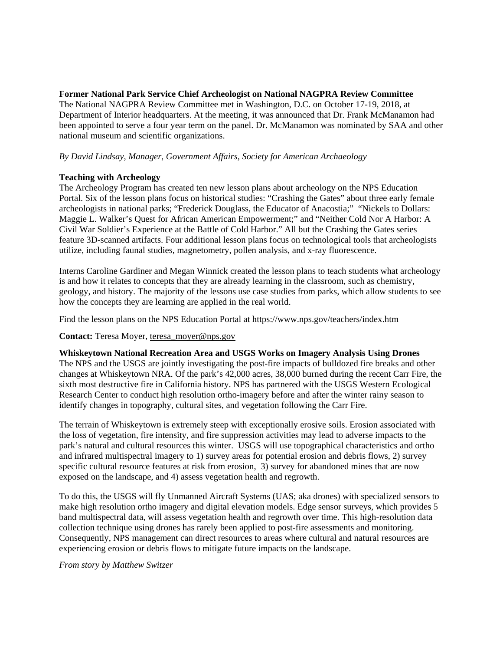**Former National Park Service Chief Archeologist on National NAGPRA Review Committee** The National NAGPRA Review Committee met in Washington, D.C. on October 17-19, 2018, at Department of Interior headquarters. At the meeting, it was announced that Dr. Frank McManamon had been appointed to serve a four year term on the panel. Dr. McManamon was nominated by SAA and other national museum and scientific organizations.

## *By David Lindsay*, *Manager, Government Affairs*, *Society for American Archaeology*

## **Teaching with Archeology**

The Archeology Program has created ten new lesson plans about archeology on the NPS Education Portal. Six of the lesson plans focus on historical studies: "Crashing the Gates" about three early female archeologists in national parks; "Frederick Douglass, the Educator of Anacostia;" "Nickels to Dollars: Maggie L. Walker's Quest for African American Empowerment;" and "Neither Cold Nor A Harbor: A Civil War Soldier's Experience at the Battle of Cold Harbor." All but the Crashing the Gates series feature 3D-scanned artifacts. Four additional lesson plans focus on technological tools that archeologists utilize, including faunal studies, magnetometry, pollen analysis, and x-ray fluorescence.

Interns Caroline Gardiner and Megan Winnick created the lesson plans to teach students what archeology is and how it relates to concepts that they are already learning in the classroom, such as chemistry, geology, and history. The majority of the lessons use case studies from parks, which allow students to see how the concepts they are learning are applied in the real world.

Find the lesson plans on the NPS Education Portal at https://www.nps.gov/teachers/index.htm

## **Contact:** Teresa Moyer, [teresa\\_moyer@nps.gov](mailto:teresa_moyer@nps.gov)

**Whiskeytown National Recreation Area and USGS Works on Imagery Analysis Using Drones** The NPS and the USGS are jointly investigating the post-fire impacts of bulldozed fire breaks and other changes at Whiskeytown NRA. Of the park's 42,000 acres, 38,000 burned during the recent Carr Fire, the sixth most destructive fire in California history. NPS has partnered with the USGS Western Ecological Research Center to conduct high resolution ortho-imagery before and after the winter rainy season to identify changes in topography, cultural sites, and vegetation following the Carr Fire.

The terrain of Whiskeytown is extremely steep with exceptionally erosive soils. Erosion associated with the loss of vegetation, fire intensity, and fire suppression activities may lead to adverse impacts to the park's natural and cultural resources this winter. USGS will use topographical characteristics and ortho and infrared multispectral imagery to 1) survey areas for potential erosion and debris flows, 2) survey specific cultural resource features at risk from erosion, 3) survey for abandoned mines that are now exposed on the landscape, and 4) assess vegetation health and regrowth.

To do this, the USGS will fly Unmanned Aircraft Systems (UAS; aka drones) with specialized sensors to make high resolution ortho imagery and digital elevation models. Edge sensor surveys, which provides 5 band multispectral data, will assess vegetation health and regrowth over time. This high-resolution data collection technique using drones has rarely been applied to post-fire assessments and monitoring. Consequently, NPS management can direct resources to areas where cultural and natural resources are experiencing erosion or debris flows to mitigate future impacts on the landscape.

*From story by Matthew Switzer*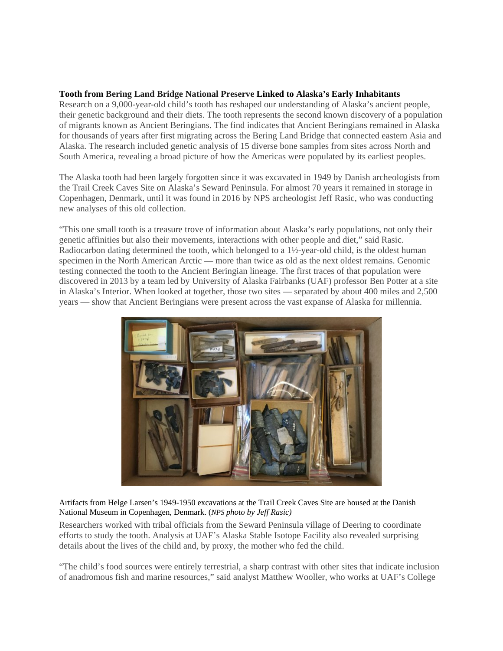## **Tooth from Bering Land Bridge National Preserve Linked to Alaska's Early Inhabitants**

Research on a 9,000-year-old child's tooth has reshaped our understanding of Alaska's ancient people, their genetic background and their diets. The tooth represents the second known discovery of a population of migrants known as Ancient Beringians. The find indicates that Ancient Beringians remained in Alaska for thousands of years after first migrating across the Bering Land Bridge that connected eastern Asia and Alaska. The research included genetic analysis of 15 diverse bone samples from sites across North and South America, revealing a broad picture of how the Americas were populated by its earliest peoples.

The Alaska tooth had been largely forgotten since it was excavated in 1949 by Danish archeologists from the Trail Creek Caves Site on Alaska's Seward Peninsula. For almost 70 years it remained in storage in Copenhagen, Denmark, until it was found in 2016 by NPS archeologist Jeff Rasic, who was conducting new analyses of this old collection.

"This one small tooth is a treasure trove of information about Alaska's early populations, not only their genetic affinities but also their movements, interactions with other people and diet," said Rasic. Radiocarbon dating determined the tooth, which belonged to a 1½-year-old child, is the oldest human specimen in the North American Arctic — more than twice as old as the next oldest remains. Genomic testing connected the tooth to the Ancient Beringian lineage. The first traces of that population were discovered in 2013 by a team led by University of Alaska Fairbanks (UAF) professor Ben Potter at a site in Alaska's Interior. When looked at together, those two sites — separated by about 400 miles and 2,500 years — show that Ancient Beringians were present across the vast expanse of Alaska for millennia.



Artifacts from Helge Larsen's 1949-1950 excavations at the Trail Creek Caves Site are housed at the Danish National Museum in Copenhagen, Denmark. (*NPS photo by Jeff Rasic)*

Researchers worked with tribal officials from the Seward Peninsula village of Deering to coordinate efforts to study the tooth. Analysis at UAF's Alaska Stable Isotope Facility also revealed surprising details about the lives of the child and, by proxy, the mother who fed the child.

"The child's food sources were entirely terrestrial, a sharp contrast with other sites that indicate inclusion of anadromous fish and marine resources," said analyst Matthew Wooller, who works at UAF's College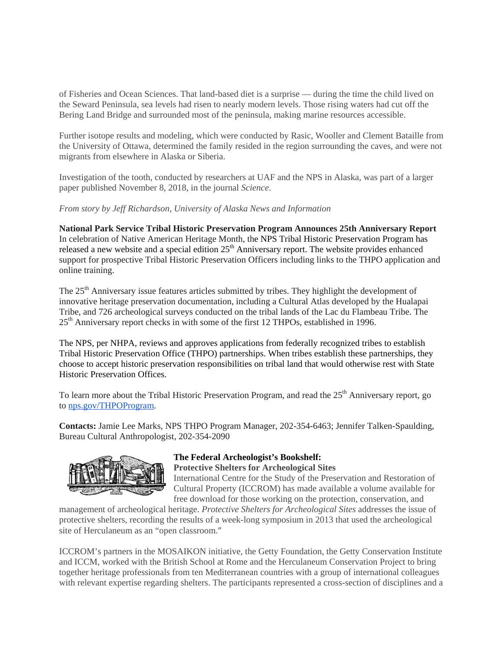of Fisheries and Ocean Sciences. That land-based diet is a surprise — during the time the child lived on the Seward Peninsula, sea levels had risen to nearly modern levels. Those rising waters had cut off the Bering Land Bridge and surrounded most of the peninsula, making marine resources accessible.

Further isotope results and modeling, which were conducted by Rasic, Wooller and Clement Bataille from the University of Ottawa, determined the family resided in the region surrounding the caves, and were not migrants from elsewhere in Alaska or Siberia.

Investigation of the tooth, conducted by researchers at UAF and the NPS in Alaska, was part of a larger paper published November 8, 2018, in the journal *Science*.

*From story by Jeff Richardson, University of Alaska News and Information*

**National Park Service Tribal Historic Preservation Program Announces 25th Anniversary Report**  In celebration of Native American Heritage Month, the NPS Tribal Historic Preservation Program has released a new website and a special edition  $25<sup>th</sup>$  Anniversary report. The website provides enhanced support for prospective Tribal Historic Preservation Officers including links to the THPO application and online training.

The 25<sup>th</sup> Anniversary issue features articles submitted by tribes. They highlight the development of innovative heritage preservation documentation, including a Cultural Atlas developed by the Hualapai Tribe, and 726 archeological surveys conducted on the tribal lands of the Lac du Flambeau Tribe. The 25th Anniversary report checks in with some of the first 12 THPOs, established in 1996.

The NPS, per NHPA, reviews and approves applications from federally recognized tribes to establish Tribal Historic Preservation Office (THPO) partnerships. When tribes establish these partnerships, they choose to accept historic preservation responsibilities on tribal land that would otherwise rest with State Historic Preservation Offices.

To learn more about the Tribal Historic Preservation Program, and read the 25<sup>th</sup> Anniversary report, go to [nps.gov/THPOProgram.](http://nps.gov/THPOProgram)

**Contacts:** Jamie Lee Marks, NPS THPO Program Manager, 202-354-6463; Jennifer Talken-Spaulding, Bureau Cultural Anthropologist, 202-354-2090



#### **The Federal Archeologist's Bookshelf: Protective Shelters for Archeological Sites**

International Centre for the Study of the Preservation and Restoration of Cultural Property (ICCROM) has made available a volume available for free download for those working on the protection, conservation, and

management of archeological heritage. *Protective Shelters for Archeological Sites* addresses the issue of protective shelters, recording the results of a week-long symposium in 2013 that used the archeological site of Herculaneum as an "open classroom."

ICCROM's partners in the MOSAIKON initiative, the Getty Foundation, the Getty Conservation Institute and ICCM, worked with the British School at Rome and the Herculaneum Conservation Project to bring together heritage professionals from ten Mediterranean countries with a group of international colleagues with relevant expertise regarding shelters. The participants represented a cross-section of disciplines and a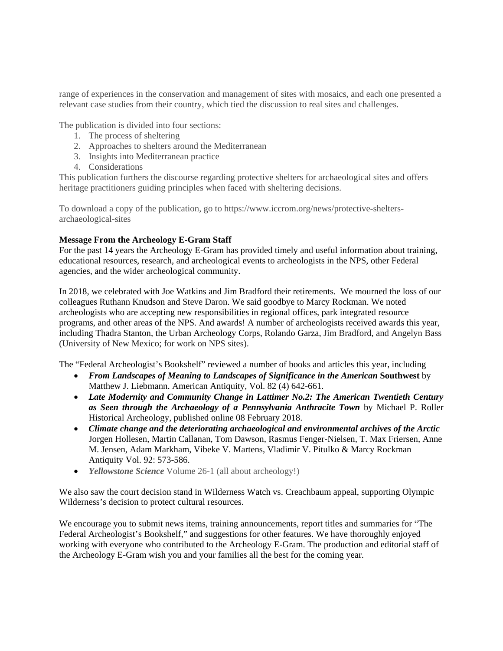range of experiences in the conservation and management of sites with mosaics, and each one presented a relevant case studies from their country, which tied the discussion to real sites and challenges.

The publication is divided into four sections:

- 1. The process of sheltering
- 2. Approaches to shelters around the Mediterranean
- 3. Insights into Mediterranean practice
- 4. Considerations

This publication furthers the discourse regarding protective shelters for archaeological sites and offers heritage practitioners guiding principles when faced with sheltering decisions.

To download a copy of the publication, go to https://www.iccrom.org/news/protective-sheltersarchaeological-sites

## **Message From the Archeology E-Gram Staff**

For the past 14 years the Archeology E-Gram has provided timely and useful information about training, educational resources, research, and archeological events to archeologists in the NPS, other Federal agencies, and the wider archeological community.

In 2018, we celebrated with Joe Watkins and Jim Bradford their retirements. We mourned the loss of our colleagues Ruthann Knudson and Steve Daron. We said goodbye to Marcy Rockman. We noted archeologists who are accepting new responsibilities in regional offices, park integrated resource programs, and other areas of the NPS. And awards! A number of archeologists received awards this year, including Thadra Stanton, the Urban Archeology Corps, Rolando Garza, Jim Bradford, and Angelyn Bass (University of New Mexico; for work on NPS sites).

The "Federal Archeologist's Bookshelf" reviewed a number of books and articles this year, including

- *From Landscapes of Meaning to Landscapes of Significance in the American* **Southwest** by Matthew J. Liebmann. American Antiquity, Vol. 82 (4) 642-661.
- *Late Modernity and Community Change in Lattimer No.2: The American Twentieth Century as Seen through the Archaeology of a Pennsylvania Anthracite Town* by Michael P. Roller Historical Archeology, published online 08 February 2018.
- *Climate change and the deteriorating archaeological and environmental archives of the Arctic* Jorgen Hollesen, Martin Callanan, Tom Dawson, Rasmus Fenger-Nielsen, T. Max Friersen, Anne M. Jensen, Adam Markham, Vibeke V. Martens, Vladimir V. Pitulko & Marcy Rockman Antiquity Vol. 92: 573-586.
- *Yellowstone Science* Volume 26-1 (all about archeology!)

We also saw the court decision stand in Wilderness Watch vs. Creachbaum appeal, supporting Olympic Wilderness's decision to protect cultural resources.

We encourage you to submit news items, training announcements, report titles and summaries for "The Federal Archeologist's Bookshelf," and suggestions for other features. We have thoroughly enjoyed working with everyone who contributed to the Archeology E-Gram. The production and editorial staff of the Archeology E-Gram wish you and your families all the best for the coming year.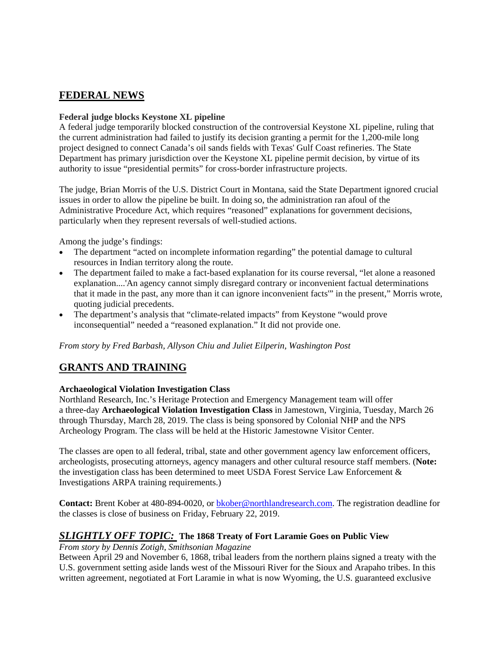## **FEDERAL NEWS**

## **Federal judge blocks Keystone XL pipeline**

A federal judge temporarily blocked construction of the controversial Keystone XL pipeline, ruling that the current administration had failed to justify its decision granting a permit for the 1,200-mile long project designed to connect Canada's oil sands fields with Texas' Gulf Coast refineries. The State Department has primary jurisdiction over the Keystone XL pipeline permit decision, by virtue of its authority to issue "presidential permits" for cross-border infrastructure projects.

The judge, Brian Morris of the U.S. District Court in Montana, said the State Department ignored crucial issues in order to allow the pipeline be built. In doing so, the administration ran afoul of the Administrative Procedure Act, which requires "reasoned" explanations for government decisions, particularly when they represent reversals of well-studied actions.

Among the judge's findings:

- The department "acted on incomplete information regarding" the potential damage to cultural resources in Indian territory along the route.
- The department failed to make a fact-based explanation for its course reversal, "let alone a reasoned explanation....'An agency cannot simply disregard contrary or inconvenient factual determinations that it made in the past, any more than it can ignore inconvenient facts'" in the present," Morris wrote, quoting judicial precedents.
- The department's analysis that "climate-related impacts" from Keystone "would prove inconsequential" needed a "reasoned explanation." It did not provide one.

*From story by Fred Barbash, Allyson Chiu and Juliet Eilperin, Washington Post*

# **GRANTS AND TRAINING**

## **Archaeological Violation Investigation Class**

Northland Research, Inc.'s Heritage Protection and Emergency Management team will offer a three-day **Archaeological Violation Investigation Class** in Jamestown, Virginia, Tuesday, March 26 through Thursday, March 28, 2019. The class is being sponsored by Colonial NHP and the NPS Archeology Program. The class will be held at the Historic Jamestowne Visitor Center.

The classes are open to all federal, tribal, state and other government agency law enforcement officers, archeologists, prosecuting attorneys, agency managers and other cultural resource staff members. (**Note:**  the investigation class has been determined to meet USDA Forest Service Law Enforcement & Investigations ARPA training requirements.)

**Contact:** Brent Kober at 480-894-0020, or [bkober@northlandresearch.com.](mailto:bkober@northlandresearch.com) The registration deadline for the classes is close of business on Friday, February 22, 2019.

## *SLIGHTLY OFF TOPIC:* **The 1868 Treaty of Fort Laramie Goes on Public View**

*From story by Dennis Zotigh, Smithsonian Magazine*

Between April 29 and November 6, 1868, tribal leaders from the northern plains signed a treaty with the U.S. government setting aside lands west of the Missouri River for the Sioux and Arapaho tribes. In this written agreement, negotiated at Fort Laramie in what is now Wyoming, the U.S. guaranteed exclusive